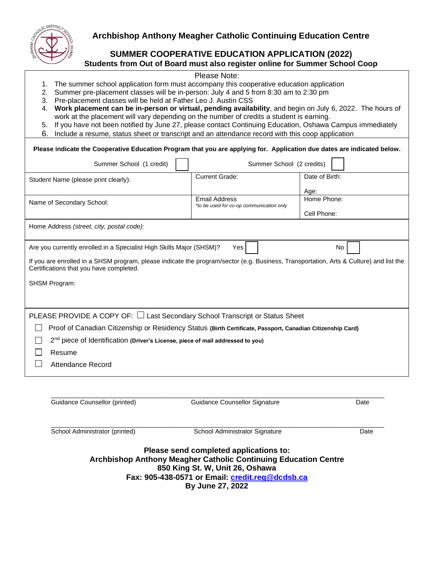

# **Archbishop Anthony Meagher Catholic Continuing Education Centre**

## **SUMMER COOPERATIVE EDUCATION APPLICATION (2022) Students from Out of Board must also register online for Summer School Coop**

### Please Note:

- 1. The summer school application form must accompany this cooperative education application
- 2. Summer pre-placement classes will be in-person: July 4 and 5 from 8:30 am to 2:30 pm
- 3. Pre-placement classes will be held at Father Leo J. Austin CSS
- 4. **Work placement can be in-person or virtual, pending availability**, and begin on July 6, 2022. The hours of work at the placement will vary depending on the number of credits a student is earning.
- 5. If you have not been notified by June 27, please contact Continuing Education, Oshawa Campus immediately
- 6. Include a resume, status sheet or transcript and an attendance record with this coop application

| Please indicate the Cooperative Education Program that you are applying for. Application due dates are indicated below.                                                           |                                    |  |  |  |
|-----------------------------------------------------------------------------------------------------------------------------------------------------------------------------------|------------------------------------|--|--|--|
| Summer School (2 credits)                                                                                                                                                         |                                    |  |  |  |
| <b>Current Grade:</b>                                                                                                                                                             | Date of Birth:                     |  |  |  |
| <b>Email Address</b><br>*to be used for co-op communication only                                                                                                                  | Age:<br>Home Phone:<br>Cell Phone: |  |  |  |
|                                                                                                                                                                                   |                                    |  |  |  |
| Are you currently enrolled in a Specialist High Skills Major (SHSM)?<br>Yes                                                                                                       | No                                 |  |  |  |
| If you are enrolled in a SHSM program, please indicate the program/sector (e.g. Business, Transportation, Arts & Culture) and list the<br>Certifications that you have completed. |                                    |  |  |  |
|                                                                                                                                                                                   |                                    |  |  |  |
|                                                                                                                                                                                   |                                    |  |  |  |
| PLEASE PROVIDE A COPY OF: $\Box$ Last Secondary School Transcript or Status Sheet                                                                                                 |                                    |  |  |  |
| Proof of Canadian Citizenship or Residency Status (Birth Certificate, Passport, Canadian Citizenship Card)                                                                        |                                    |  |  |  |
| 2 <sup>nd</sup> piece of Identification (Driver's License, piece of mail addressed to you)                                                                                        |                                    |  |  |  |
|                                                                                                                                                                                   |                                    |  |  |  |
|                                                                                                                                                                                   |                                    |  |  |  |
|                                                                                                                                                                                   |                                    |  |  |  |

| Guidance Counsellor (printed)  | Guidance Counsellor Signature                                                                                    | Date |
|--------------------------------|------------------------------------------------------------------------------------------------------------------|------|
| School Administrator (printed) | School Administrator Signature                                                                                   | Date |
|                                | Please send completed applications to:<br><b>Archbishop Anthony Meagher Catholic Continuing Education Centre</b> |      |
|                                | 850 King St. W, Unit 26, Oshawa                                                                                  |      |
|                                | Fax: 905-438-0571 or Email: credit.reg@dcdsb.ca                                                                  |      |
|                                | By June 27, 2022                                                                                                 |      |